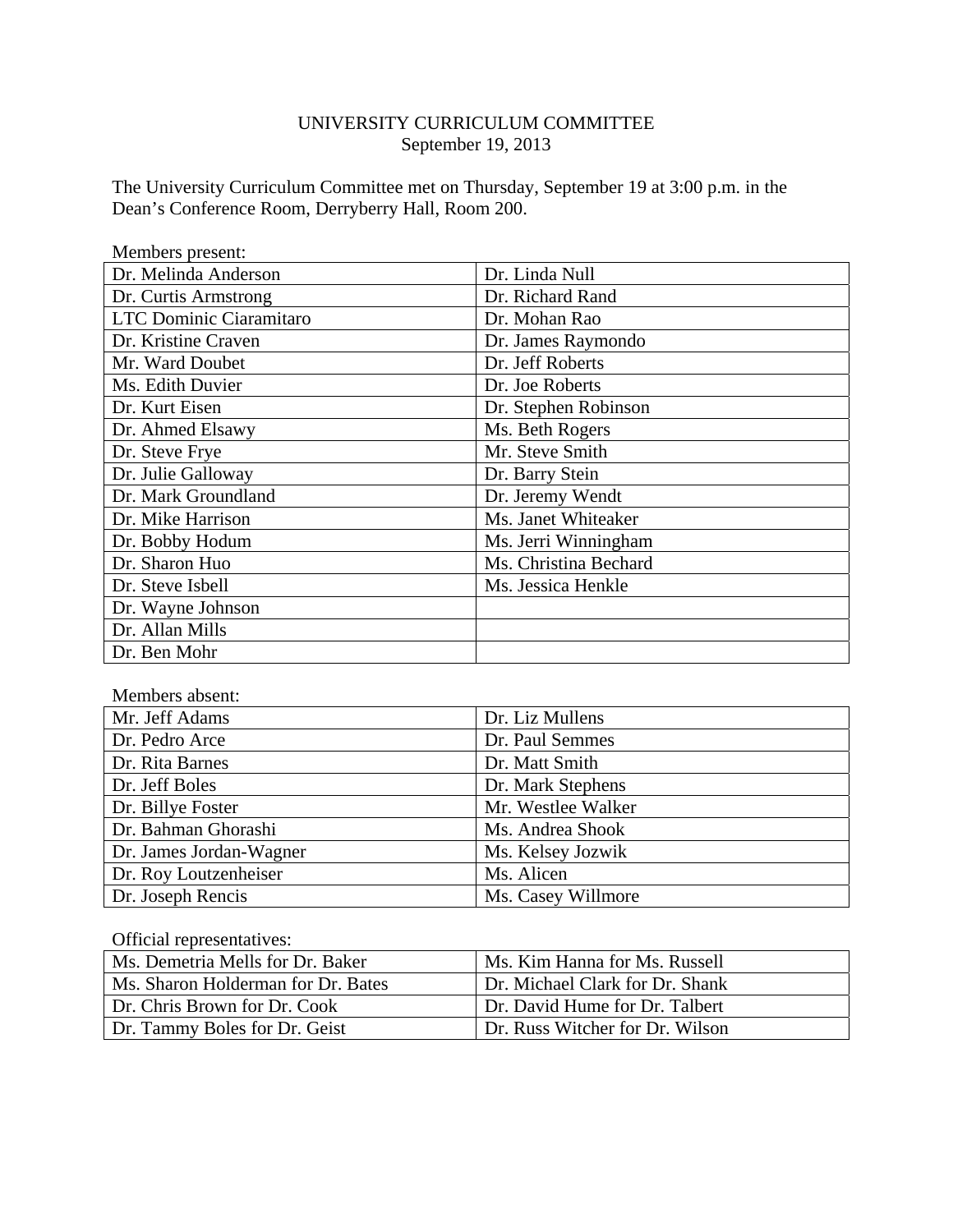### UNIVERSITY CURRICULUM COMMITTEE September 19, 2013

The University Curriculum Committee met on Thursday, September 19 at 3:00 p.m. in the Dean's Conference Room, Derryberry Hall, Room 200.

| Members present:               |                       |
|--------------------------------|-----------------------|
| Dr. Melinda Anderson           | Dr. Linda Null        |
| Dr. Curtis Armstrong           | Dr. Richard Rand      |
| <b>LTC Dominic Ciaramitaro</b> | Dr. Mohan Rao         |
| Dr. Kristine Craven            | Dr. James Raymondo    |
| Mr. Ward Doubet                | Dr. Jeff Roberts      |
| Ms. Edith Duvier               | Dr. Joe Roberts       |
| Dr. Kurt Eisen                 | Dr. Stephen Robinson  |
| Dr. Ahmed Elsawy               | Ms. Beth Rogers       |
| Dr. Steve Frye                 | Mr. Steve Smith       |
| Dr. Julie Galloway             | Dr. Barry Stein       |
| Dr. Mark Groundland            | Dr. Jeremy Wendt      |
| Dr. Mike Harrison              | Ms. Janet Whiteaker   |
| Dr. Bobby Hodum                | Ms. Jerri Winningham  |
| Dr. Sharon Huo                 | Ms. Christina Bechard |
| Dr. Steve Isbell               | Ms. Jessica Henkle    |
| Dr. Wayne Johnson              |                       |
| Dr. Allan Mills                |                       |
| Dr. Ben Mohr                   |                       |

| Members absent:         |                    |  |
|-------------------------|--------------------|--|
| Mr. Jeff Adams          | Dr. Liz Mullens    |  |
| Dr. Pedro Arce          | Dr. Paul Semmes    |  |
| Dr. Rita Barnes         | Dr. Matt Smith     |  |
| Dr. Jeff Boles          | Dr. Mark Stephens  |  |
| Dr. Billye Foster       | Mr. Westlee Walker |  |
| Dr. Bahman Ghorashi     | Ms. Andrea Shook   |  |
| Dr. James Jordan-Wagner | Ms. Kelsey Jozwik  |  |
| Dr. Roy Loutzenheiser   | Ms. Alicen         |  |
| Dr. Joseph Rencis       | Ms. Casey Willmore |  |

Official representatives:

| Ms. Demetria Mells for Dr. Baker   | Ms. Kim Hanna for Ms. Russell   |
|------------------------------------|---------------------------------|
| Ms. Sharon Holderman for Dr. Bates | Dr. Michael Clark for Dr. Shank |
| Dr. Chris Brown for Dr. Cook       | Dr. David Hume for Dr. Talbert  |
| Dr. Tammy Boles for Dr. Geist      | Dr. Russ Witcher for Dr. Wilson |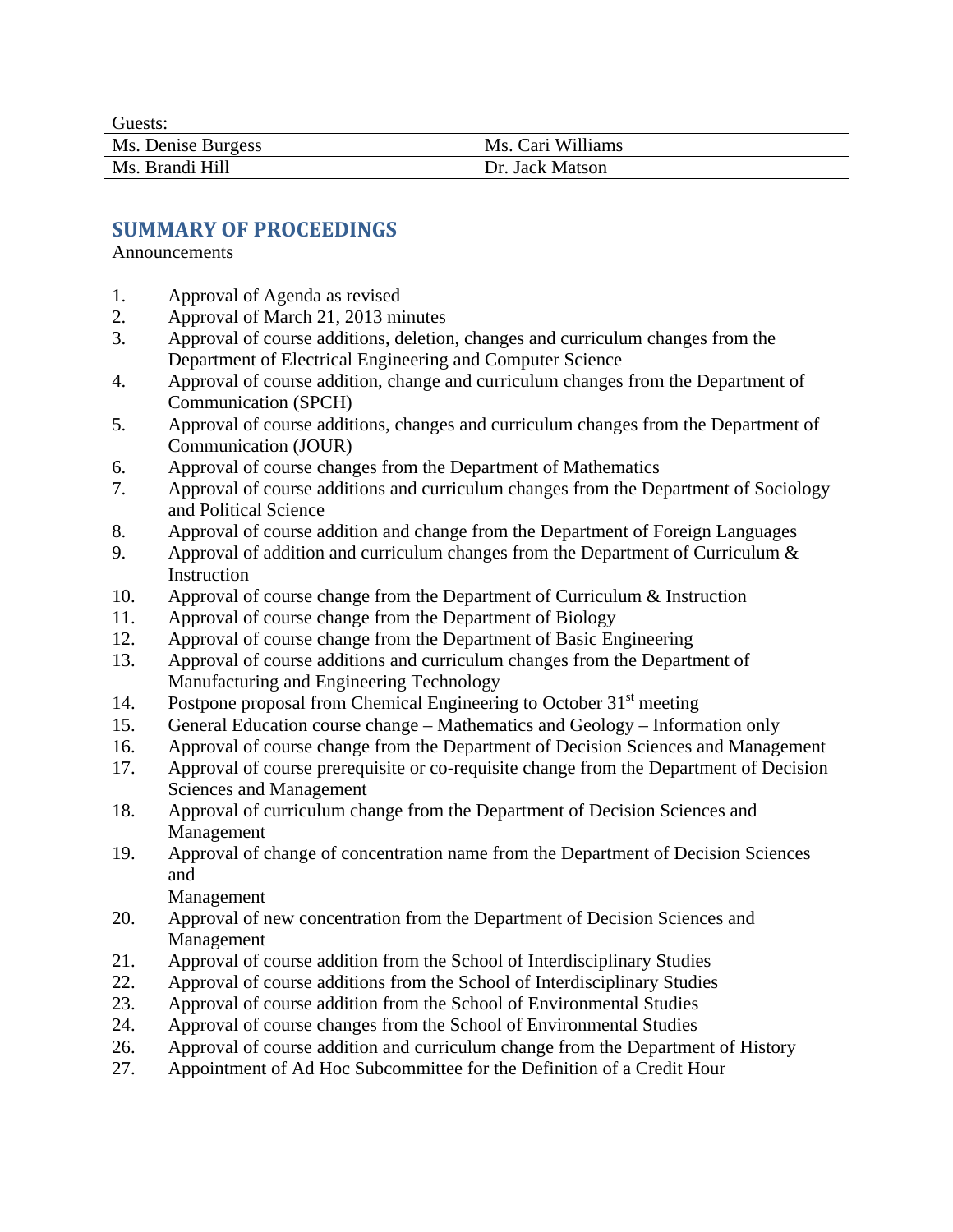Guests:

| Ms. Denise Burgess | Ms. Cari Williams |
|--------------------|-------------------|
| Ms. Brandi Hill    | Dr. Jack Matson   |

# **SUMMARY OF PROCEEDINGS**

Announcements

- 1. Approval of Agenda as revised
- 2. Approval of March 21, 2013 minutes
- 3. Approval of course additions, deletion, changes and curriculum changes from the Department of Electrical Engineering and Computer Science
- 4. Approval of course addition, change and curriculum changes from the Department of Communication (SPCH)
- 5. Approval of course additions, changes and curriculum changes from the Department of Communication (JOUR)
- 6. Approval of course changes from the Department of Mathematics
- 7. Approval of course additions and curriculum changes from the Department of Sociology and Political Science
- 8. Approval of course addition and change from the Department of Foreign Languages
- 9. Approval of addition and curriculum changes from the Department of Curriculum & **Instruction**
- 10. Approval of course change from the Department of Curriculum & Instruction
- 11. Approval of course change from the Department of Biology
- 12. Approval of course change from the Department of Basic Engineering
- 13. Approval of course additions and curriculum changes from the Department of Manufacturing and Engineering Technology
- 14. Postpone proposal from Chemical Engineering to October  $31<sup>st</sup>$  meeting
- 15. General Education course change Mathematics and Geology Information only
- 16. Approval of course change from the Department of Decision Sciences and Management
- 17. Approval of course prerequisite or co-requisite change from the Department of Decision Sciences and Management
- 18. Approval of curriculum change from the Department of Decision Sciences and Management
- 19. Approval of change of concentration name from the Department of Decision Sciences and

Management

- 20. Approval of new concentration from the Department of Decision Sciences and Management
- 21. Approval of course addition from the School of Interdisciplinary Studies
- 22. Approval of course additions from the School of Interdisciplinary Studies
- 23. Approval of course addition from the School of Environmental Studies
- 24. Approval of course changes from the School of Environmental Studies
- 26. Approval of course addition and curriculum change from the Department of History
- 27. Appointment of Ad Hoc Subcommittee for the Definition of a Credit Hour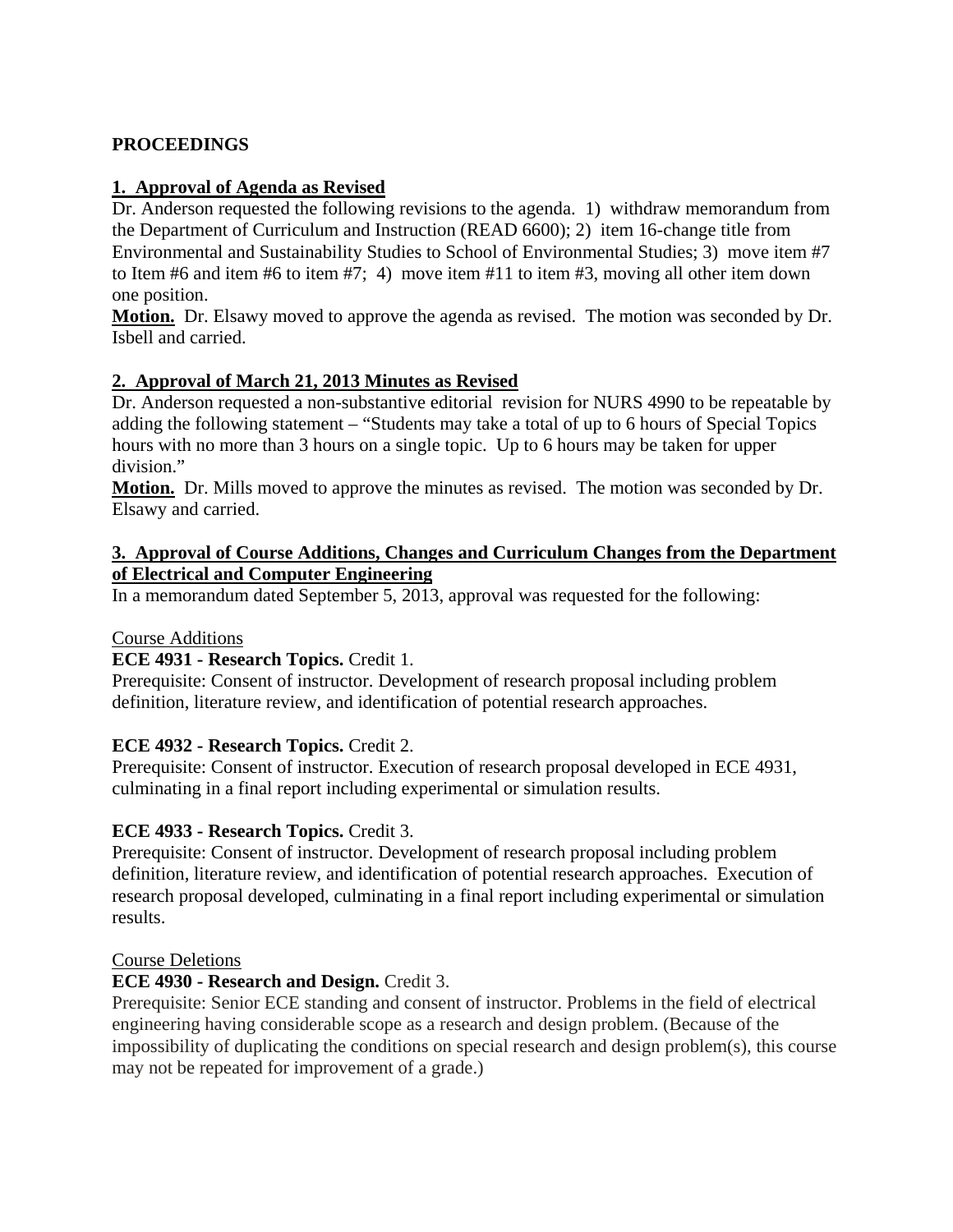### **PROCEEDINGS**

### **1. Approval of Agenda as Revised**

Dr. Anderson requested the following revisions to the agenda. 1) withdraw memorandum from the Department of Curriculum and Instruction (READ 6600); 2) item 16-change title from Environmental and Sustainability Studies to School of Environmental Studies; 3) move item #7 to Item #6 and item #6 to item #7; 4) move item #11 to item #3, moving all other item down one position.

**Motion.** Dr. Elsawy moved to approve the agenda as revised. The motion was seconded by Dr. Isbell and carried.

### **2. Approval of March 21, 2013 Minutes as Revised**

Dr. Anderson requested a non-substantive editorial revision for NURS 4990 to be repeatable by adding the following statement – "Students may take a total of up to 6 hours of Special Topics hours with no more than 3 hours on a single topic. Up to 6 hours may be taken for upper division."

**Motion.** Dr. Mills moved to approve the minutes as revised. The motion was seconded by Dr. Elsawy and carried.

#### **3. Approval of Course Additions, Changes and Curriculum Changes from the Department of Electrical and Computer Engineering**

In a memorandum dated September 5, 2013, approval was requested for the following:

#### Course Additions

### **ECE 4931 - Research Topics.** Credit 1.

Prerequisite: Consent of instructor. Development of research proposal including problem definition, literature review, and identification of potential research approaches.

#### **ECE 4932 - Research Topics.** Credit 2.

Prerequisite: Consent of instructor. Execution of research proposal developed in ECE 4931, culminating in a final report including experimental or simulation results.

#### **ECE 4933 - Research Topics.** Credit 3.

Prerequisite: Consent of instructor. Development of research proposal including problem definition, literature review, and identification of potential research approaches. Execution of research proposal developed, culminating in a final report including experimental or simulation results.

#### Course Deletions

#### **ECE 4930 - Research and Design.** Credit 3.

Prerequisite: Senior ECE standing and consent of instructor. Problems in the field of electrical engineering having considerable scope as a research and design problem. (Because of the impossibility of duplicating the conditions on special research and design problem(s), this course may not be repeated for improvement of a grade.)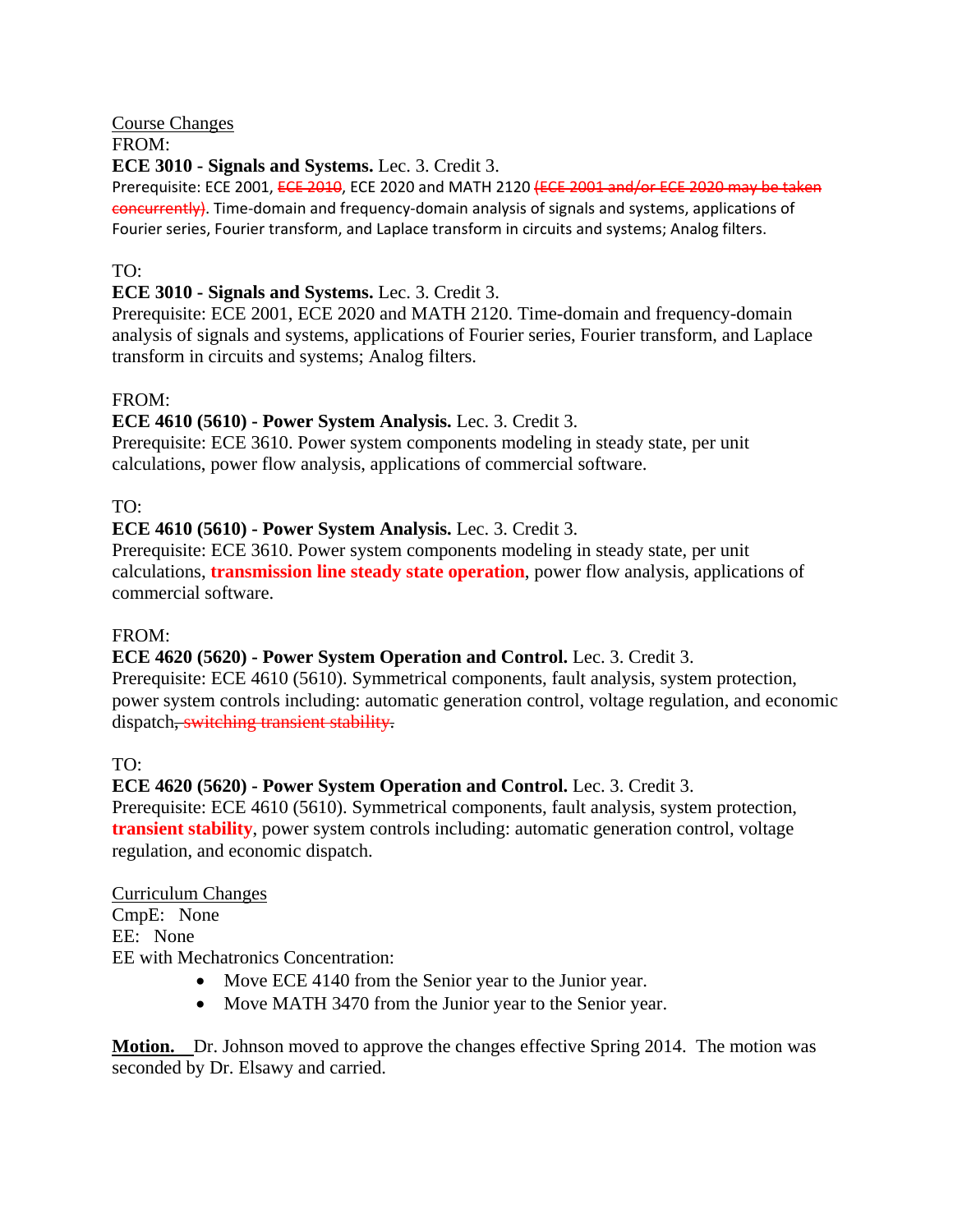# Course Changes

# FROM:

# **ECE 3010 - Signals and Systems.** Lec. 3. Credit 3.

Prerequisite: ECE 2001, ECE 2010, ECE 2020 and MATH 2120 (ECE 2001 and/or ECE 2020 may be taken concurrently). Time‐domain and frequency‐domain analysis of signals and systems, applications of Fourier series, Fourier transform, and Laplace transform in circuits and systems; Analog filters.

# TO:

# **ECE 3010 - Signals and Systems.** Lec. 3. Credit 3.

Prerequisite: ECE 2001, ECE 2020 and MATH 2120. Time-domain and frequency-domain analysis of signals and systems, applications of Fourier series, Fourier transform, and Laplace transform in circuits and systems; Analog filters.

# FROM:

# **ECE 4610 (5610) - Power System Analysis.** Lec. 3. Credit 3.

Prerequisite: ECE 3610. Power system components modeling in steady state, per unit calculations, power flow analysis, applications of commercial software.

# TO:

# **ECE 4610 (5610) - Power System Analysis.** Lec. 3. Credit 3.

Prerequisite: ECE 3610. Power system components modeling in steady state, per unit calculations, **transmission line steady state operation**, power flow analysis, applications of commercial software.

### FROM:

### **ECE 4620 (5620) - Power System Operation and Control.** Lec. 3. Credit 3.

Prerequisite: ECE 4610 (5610). Symmetrical components, fault analysis, system protection, power system controls including: automatic generation control, voltage regulation, and economic dispatch, switching transient stability.

# TO:

# **ECE 4620 (5620) - Power System Operation and Control.** Lec. 3. Credit 3.

Prerequisite: ECE 4610 (5610). Symmetrical components, fault analysis, system protection, **transient stability**, power system controls including: automatic generation control, voltage regulation, and economic dispatch.

### Curriculum Changes

CmpE: None EE: None

EE with Mechatronics Concentration:

- Move ECE 4140 from the Senior year to the Junior year.
- Move MATH 3470 from the Junior year to the Senior year.

**Motion.** Dr. Johnson moved to approve the changes effective Spring 2014. The motion was seconded by Dr. Elsawy and carried.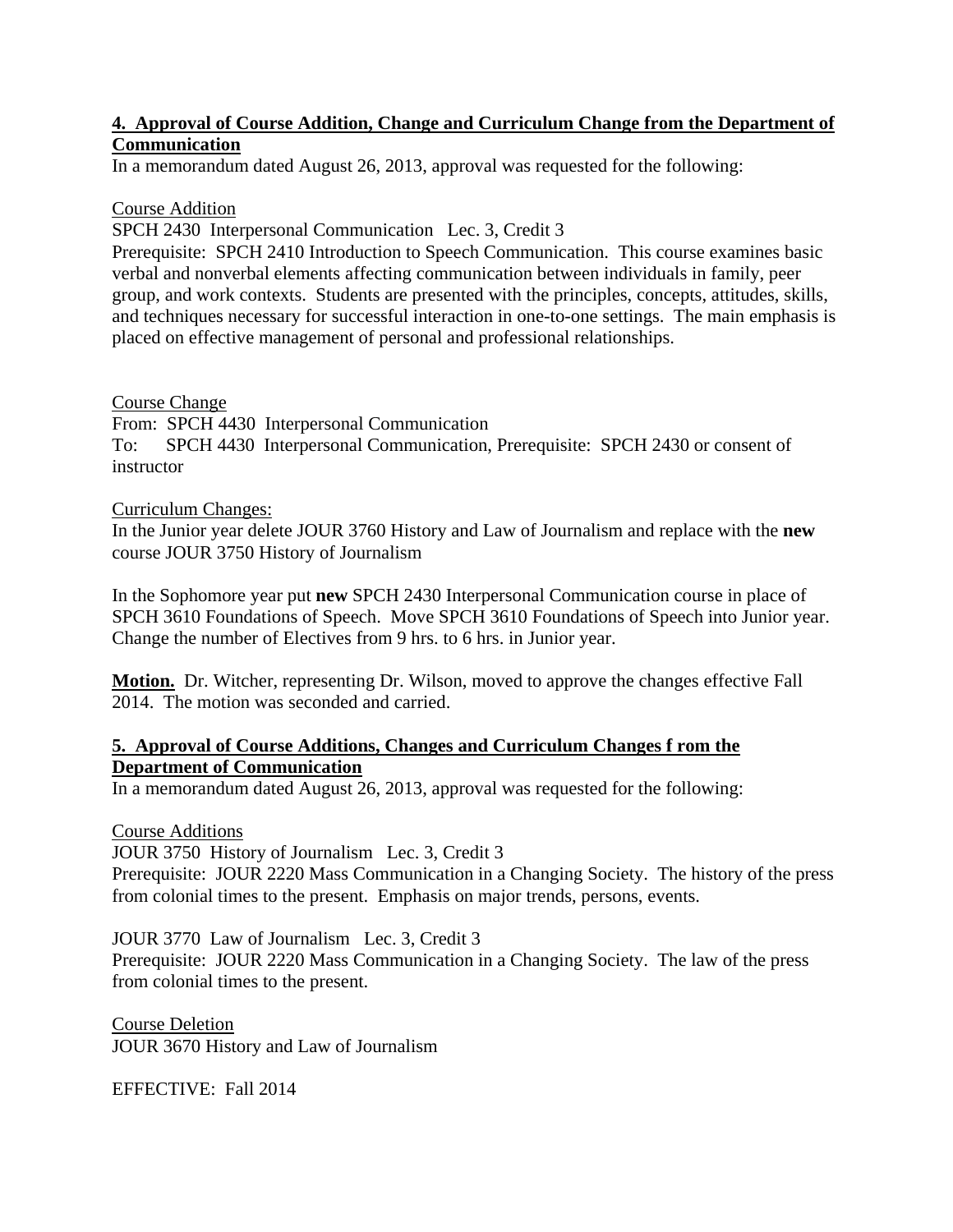### **4. Approval of Course Addition, Change and Curriculum Change from the Department of Communication**

In a memorandum dated August 26, 2013, approval was requested for the following:

#### Course Addition

SPCH 2430 Interpersonal Communication Lec. 3, Credit 3

Prerequisite: SPCH 2410 Introduction to Speech Communication. This course examines basic verbal and nonverbal elements affecting communication between individuals in family, peer group, and work contexts. Students are presented with the principles, concepts, attitudes, skills, and techniques necessary for successful interaction in one-to-one settings. The main emphasis is placed on effective management of personal and professional relationships.

### Course Change

From: SPCH 4430 Interpersonal Communication To: SPCH 4430 Interpersonal Communication, Prerequisite: SPCH 2430 or consent of instructor

#### Curriculum Changes:

In the Junior year delete JOUR 3760 History and Law of Journalism and replace with the **new** course JOUR 3750 History of Journalism

In the Sophomore year put **new** SPCH 2430 Interpersonal Communication course in place of SPCH 3610 Foundations of Speech. Move SPCH 3610 Foundations of Speech into Junior year. Change the number of Electives from 9 hrs. to 6 hrs. in Junior year.

**Motion.** Dr. Witcher, representing Dr. Wilson, moved to approve the changes effective Fall 2014. The motion was seconded and carried.

### **5. Approval of Course Additions, Changes and Curriculum Changes f rom the Department of Communication**

In a memorandum dated August 26, 2013, approval was requested for the following:

#### Course Additions

JOUR 3750 History of Journalism Lec. 3, Credit 3

Prerequisite: JOUR 2220 Mass Communication in a Changing Society. The history of the press from colonial times to the present. Emphasis on major trends, persons, events.

JOUR 3770 Law of Journalism Lec. 3, Credit 3

Prerequisite: JOUR 2220 Mass Communication in a Changing Society. The law of the press from colonial times to the present.

Course Deletion JOUR 3670 History and Law of Journalism

EFFECTIVE: Fall 2014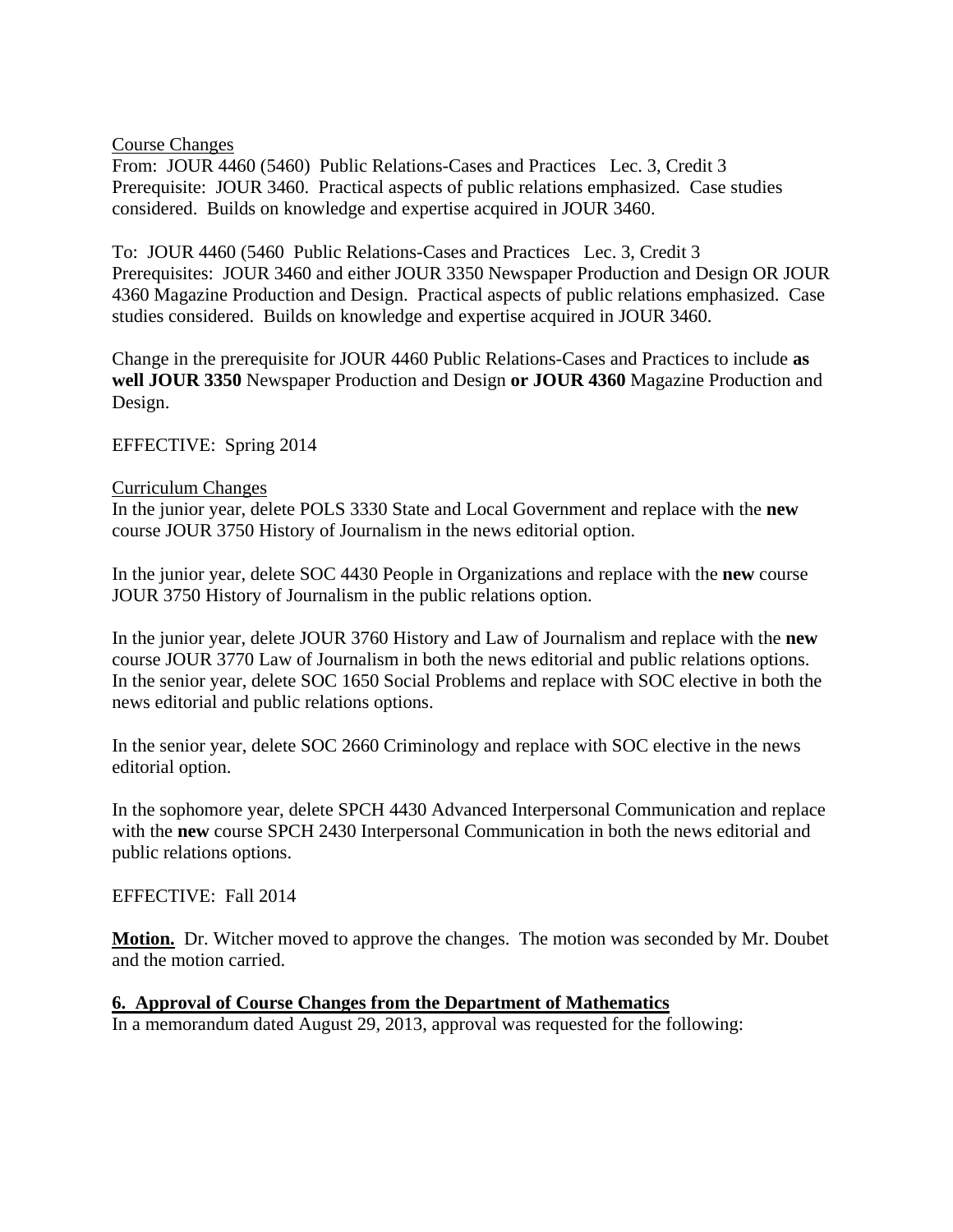#### Course Changes

From: JOUR 4460 (5460) Public Relations-Cases and Practices Lec. 3, Credit 3 Prerequisite: JOUR 3460. Practical aspects of public relations emphasized. Case studies considered. Builds on knowledge and expertise acquired in JOUR 3460.

To: JOUR 4460 (5460 Public Relations-Cases and Practices Lec. 3, Credit 3 Prerequisites: JOUR 3460 and either JOUR 3350 Newspaper Production and Design OR JOUR 4360 Magazine Production and Design. Practical aspects of public relations emphasized. Case studies considered. Builds on knowledge and expertise acquired in JOUR 3460.

Change in the prerequisite for JOUR 4460 Public Relations-Cases and Practices to include **as well JOUR 3350** Newspaper Production and Design **or JOUR 4360** Magazine Production and Design.

EFFECTIVE: Spring 2014

#### Curriculum Changes

In the junior year, delete POLS 3330 State and Local Government and replace with the **new** course JOUR 3750 History of Journalism in the news editorial option.

In the junior year, delete SOC 4430 People in Organizations and replace with the **new** course JOUR 3750 History of Journalism in the public relations option.

In the junior year, delete JOUR 3760 History and Law of Journalism and replace with the **new** course JOUR 3770 Law of Journalism in both the news editorial and public relations options. In the senior year, delete SOC 1650 Social Problems and replace with SOC elective in both the news editorial and public relations options.

In the senior year, delete SOC 2660 Criminology and replace with SOC elective in the news editorial option.

In the sophomore year, delete SPCH 4430 Advanced Interpersonal Communication and replace with the **new** course SPCH 2430 Interpersonal Communication in both the news editorial and public relations options.

#### EFFECTIVE: Fall 2014

**Motion.** Dr. Witcher moved to approve the changes. The motion was seconded by Mr. Doubet and the motion carried.

#### **6. Approval of Course Changes from the Department of Mathematics**

In a memorandum dated August 29, 2013, approval was requested for the following: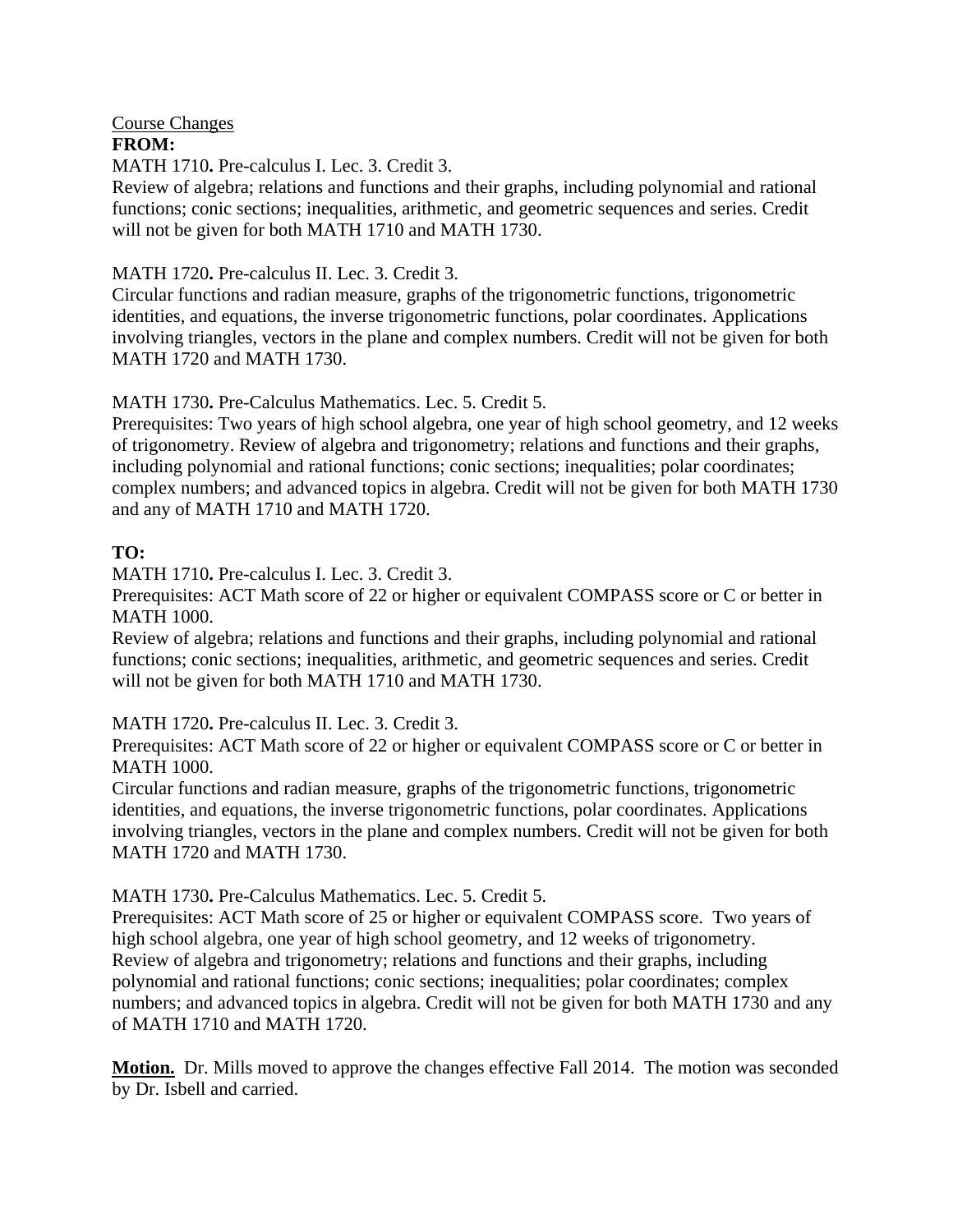#### Course Changes **FROM:**

MATH 1710**.** Pre-calculus I. Lec. 3. Credit 3.

Review of algebra; relations and functions and their graphs, including polynomial and rational functions; conic sections; inequalities, arithmetic, and geometric sequences and series. Credit will not be given for both MATH 1710 and MATH 1730.

### MATH 1720**.** Pre-calculus II. Lec. 3. Credit 3.

Circular functions and radian measure, graphs of the trigonometric functions, trigonometric identities, and equations, the inverse trigonometric functions, polar coordinates. Applications involving triangles, vectors in the plane and complex numbers. Credit will not be given for both MATH 1720 and MATH 1730.

MATH 1730**.** Pre-Calculus Mathematics. Lec. 5. Credit 5.

Prerequisites: Two years of high school algebra, one year of high school geometry, and 12 weeks of trigonometry. Review of algebra and trigonometry; relations and functions and their graphs, including polynomial and rational functions; conic sections; inequalities; polar coordinates; complex numbers; and advanced topics in algebra. Credit will not be given for both MATH 1730 and any of MATH 1710 and MATH 1720.

# **TO:**

MATH 1710**.** Pre-calculus I. Lec. 3. Credit 3.

Prerequisites: ACT Math score of 22 or higher or equivalent COMPASS score or C or better in MATH 1000.

Review of algebra; relations and functions and their graphs, including polynomial and rational functions; conic sections; inequalities, arithmetic, and geometric sequences and series. Credit will not be given for both MATH 1710 and MATH 1730.

MATH 1720**.** Pre-calculus II. Lec. 3. Credit 3.

Prerequisites: ACT Math score of 22 or higher or equivalent COMPASS score or C or better in MATH 1000.

Circular functions and radian measure, graphs of the trigonometric functions, trigonometric identities, and equations, the inverse trigonometric functions, polar coordinates. Applications involving triangles, vectors in the plane and complex numbers. Credit will not be given for both MATH 1720 and MATH 1730.

### MATH 1730**.** Pre-Calculus Mathematics. Lec. 5. Credit 5.

Prerequisites: ACT Math score of 25 or higher or equivalent COMPASS score. Two years of high school algebra, one year of high school geometry, and 12 weeks of trigonometry. Review of algebra and trigonometry; relations and functions and their graphs, including polynomial and rational functions; conic sections; inequalities; polar coordinates; complex numbers; and advanced topics in algebra. Credit will not be given for both MATH 1730 and any of MATH 1710 and MATH 1720.

**Motion.** Dr. Mills moved to approve the changes effective Fall 2014. The motion was seconded by Dr. Isbell and carried.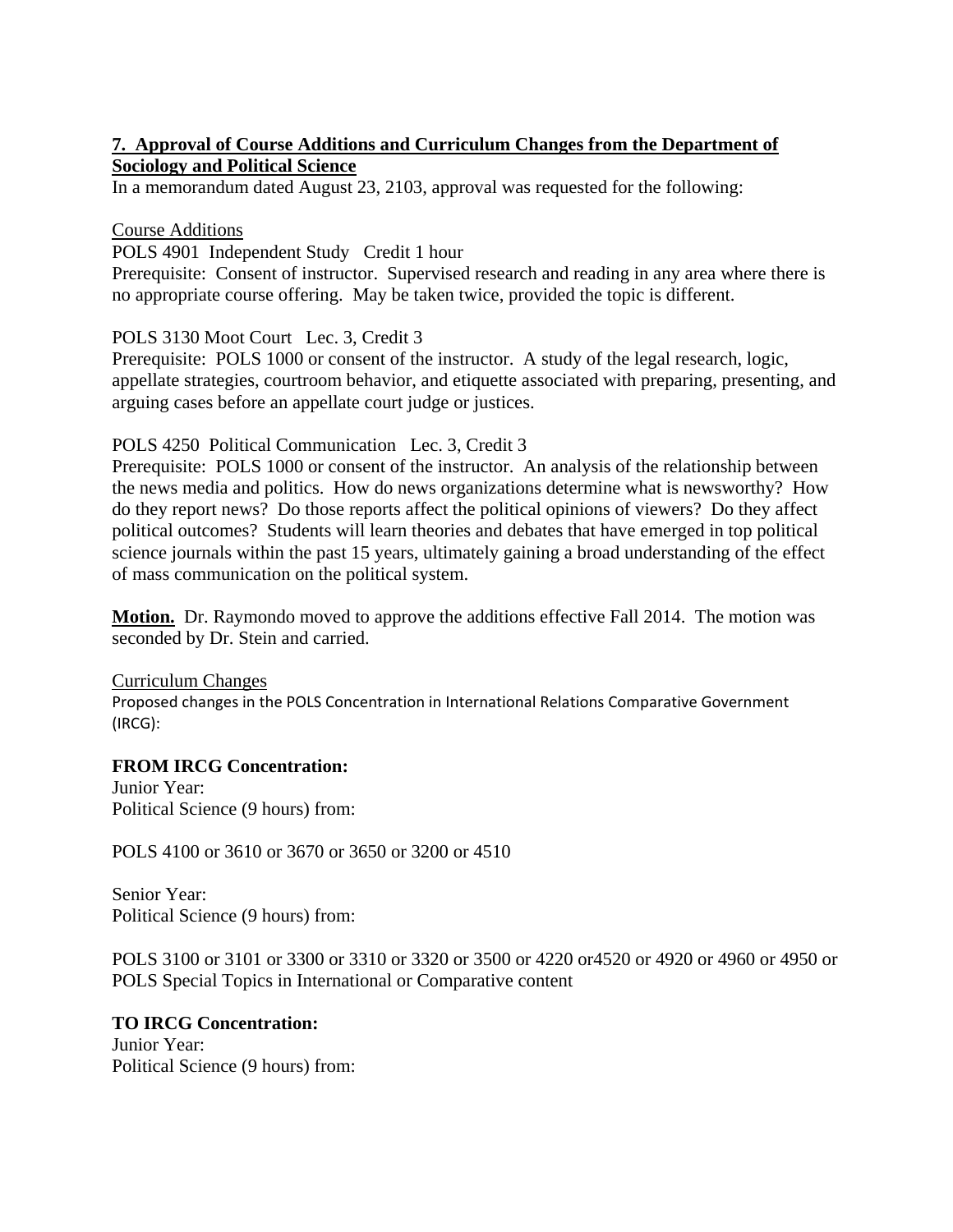# **7. Approval of Course Additions and Curriculum Changes from the Department of Sociology and Political Science**

In a memorandum dated August 23, 2103, approval was requested for the following:

### Course Additions

POLS 4901 Independent Study Credit 1 hour

Prerequisite: Consent of instructor. Supervised research and reading in any area where there is no appropriate course offering. May be taken twice, provided the topic is different.

POLS 3130 Moot Court Lec. 3, Credit 3

Prerequisite: POLS 1000 or consent of the instructor. A study of the legal research, logic, appellate strategies, courtroom behavior, and etiquette associated with preparing, presenting, and arguing cases before an appellate court judge or justices.

### POLS 4250 Political Communication Lec. 3, Credit 3

Prerequisite: POLS 1000 or consent of the instructor. An analysis of the relationship between the news media and politics. How do news organizations determine what is newsworthy? How do they report news? Do those reports affect the political opinions of viewers? Do they affect political outcomes? Students will learn theories and debates that have emerged in top political science journals within the past 15 years, ultimately gaining a broad understanding of the effect of mass communication on the political system.

**Motion.** Dr. Raymondo moved to approve the additions effective Fall 2014. The motion was seconded by Dr. Stein and carried.

Curriculum Changes Proposed changes in the POLS Concentration in International Relations Comparative Government (IRCG):

### **FROM IRCG Concentration:**

Junior Year: Political Science (9 hours) from:

POLS 4100 or 3610 or 3670 or 3650 or 3200 or 4510

Senior Year: Political Science (9 hours) from:

POLS 3100 or 3101 or 3300 or 3310 or 3320 or 3500 or 4220 or4520 or 4920 or 4960 or 4950 or POLS Special Topics in International or Comparative content

#### **TO IRCG Concentration:**

Junior Year: Political Science (9 hours) from: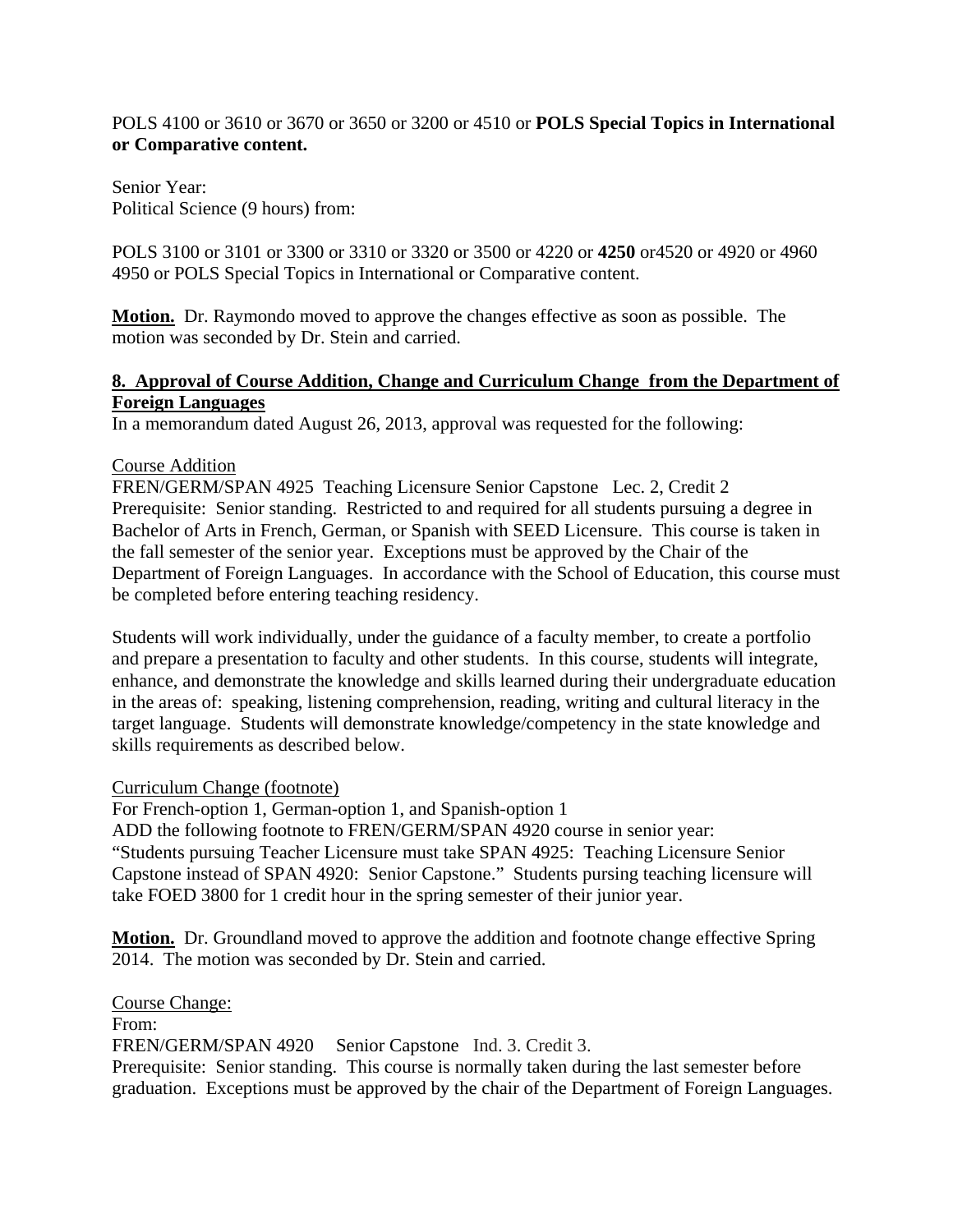### POLS 4100 or 3610 or 3670 or 3650 or 3200 or 4510 or **POLS Special Topics in International or Comparative content.**

Senior Year: Political Science (9 hours) from:

POLS 3100 or 3101 or 3300 or 3310 or 3320 or 3500 or 4220 or **4250** or4520 or 4920 or 4960 4950 or POLS Special Topics in International or Comparative content.

**Motion.** Dr. Raymondo moved to approve the changes effective as soon as possible. The motion was seconded by Dr. Stein and carried.

### **8. Approval of Course Addition, Change and Curriculum Change from the Department of Foreign Languages**

In a memorandum dated August 26, 2013, approval was requested for the following:

### Course Addition

FREN/GERM/SPAN 4925 Teaching Licensure Senior Capstone Lec. 2, Credit 2 Prerequisite: Senior standing. Restricted to and required for all students pursuing a degree in Bachelor of Arts in French, German, or Spanish with SEED Licensure. This course is taken in the fall semester of the senior year. Exceptions must be approved by the Chair of the Department of Foreign Languages. In accordance with the School of Education, this course must be completed before entering teaching residency.

Students will work individually, under the guidance of a faculty member, to create a portfolio and prepare a presentation to faculty and other students. In this course, students will integrate, enhance, and demonstrate the knowledge and skills learned during their undergraduate education in the areas of: speaking, listening comprehension, reading, writing and cultural literacy in the target language. Students will demonstrate knowledge/competency in the state knowledge and skills requirements as described below.

#### Curriculum Change (footnote)

For French-option 1, German-option 1, and Spanish-option 1 ADD the following footnote to FREN/GERM/SPAN 4920 course in senior year: "Students pursuing Teacher Licensure must take SPAN 4925: Teaching Licensure Senior Capstone instead of SPAN 4920: Senior Capstone." Students pursing teaching licensure will take FOED 3800 for 1 credit hour in the spring semester of their junior year.

**Motion.** Dr. Groundland moved to approve the addition and footnote change effective Spring 2014. The motion was seconded by Dr. Stein and carried.

Course Change: From: FREN/GERM/SPAN 4920 Senior Capstone Ind. 3. Credit 3. Prerequisite: Senior standing. This course is normally taken during the last semester before graduation. Exceptions must be approved by the chair of the Department of Foreign Languages.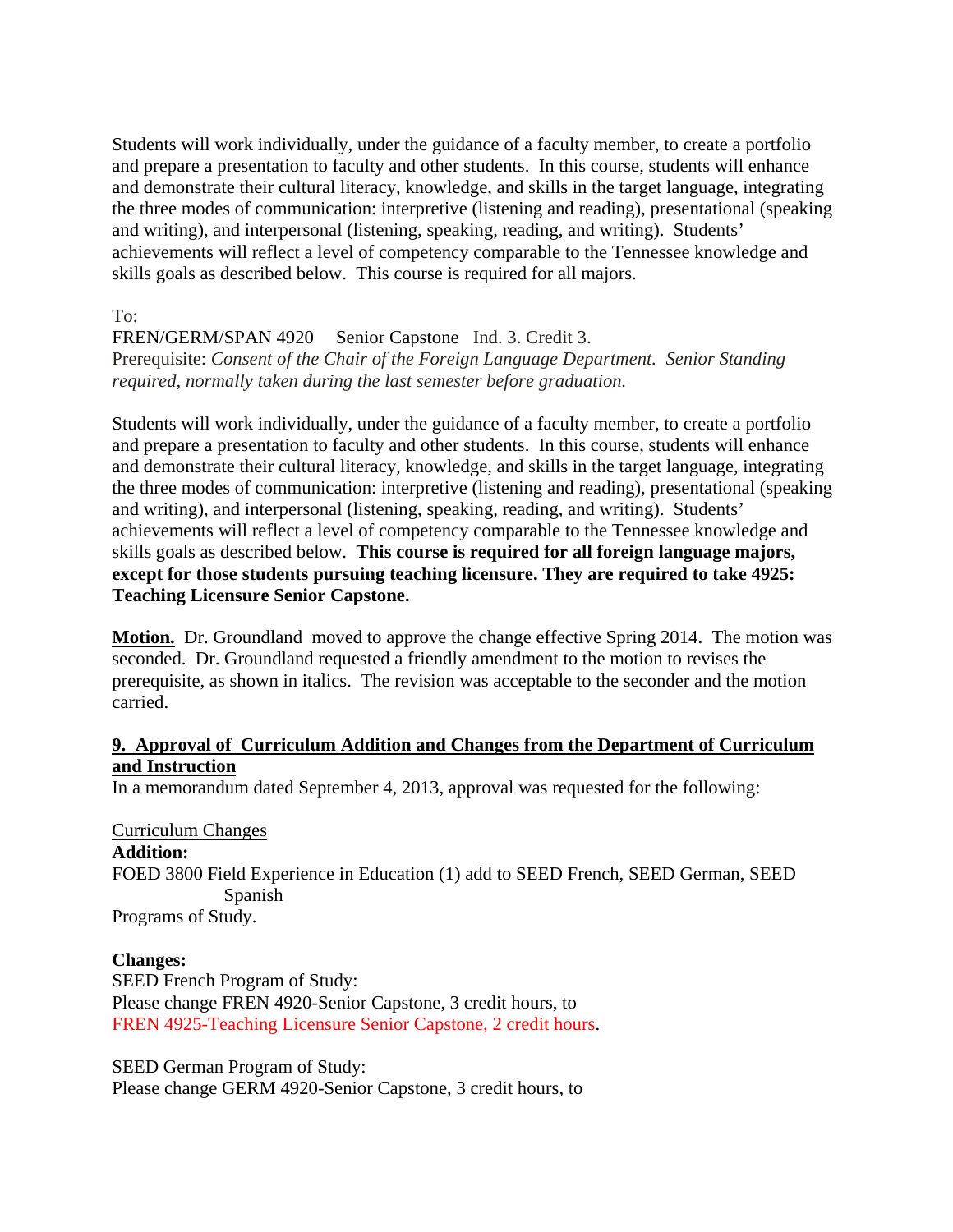Students will work individually, under the guidance of a faculty member, to create a portfolio and prepare a presentation to faculty and other students. In this course, students will enhance and demonstrate their cultural literacy, knowledge, and skills in the target language, integrating the three modes of communication: interpretive (listening and reading), presentational (speaking and writing), and interpersonal (listening, speaking, reading, and writing). Students' achievements will reflect a level of competency comparable to the Tennessee knowledge and skills goals as described below. This course is required for all majors.

To:

FREN/GERM/SPAN 4920 Senior Capstone Ind. 3. Credit 3. Prerequisite: *Consent of the Chair of the Foreign Language Department. Senior Standing required, normally taken during the last semester before graduation.* 

Students will work individually, under the guidance of a faculty member, to create a portfolio and prepare a presentation to faculty and other students. In this course, students will enhance and demonstrate their cultural literacy, knowledge, and skills in the target language, integrating the three modes of communication: interpretive (listening and reading), presentational (speaking and writing), and interpersonal (listening, speaking, reading, and writing). Students' achievements will reflect a level of competency comparable to the Tennessee knowledge and skills goals as described below. **This course is required for all foreign language majors, except for those students pursuing teaching licensure. They are required to take 4925: Teaching Licensure Senior Capstone.** 

**Motion.** Dr. Groundland moved to approve the change effective Spring 2014. The motion was seconded. Dr. Groundland requested a friendly amendment to the motion to revises the prerequisite, as shown in italics. The revision was acceptable to the seconder and the motion carried.

### **9. Approval of Curriculum Addition and Changes from the Department of Curriculum and Instruction**

In a memorandum dated September 4, 2013, approval was requested for the following:

#### Curriculum Changes

**Addition:** 

FOED 3800 Field Experience in Education (1) add to SEED French, SEED German, SEED Spanish

Programs of Study.

#### **Changes:**

SEED French Program of Study: Please change FREN 4920-Senior Capstone, 3 credit hours, to FREN 4925-Teaching Licensure Senior Capstone, 2 credit hours.

SEED German Program of Study: Please change GERM 4920-Senior Capstone, 3 credit hours, to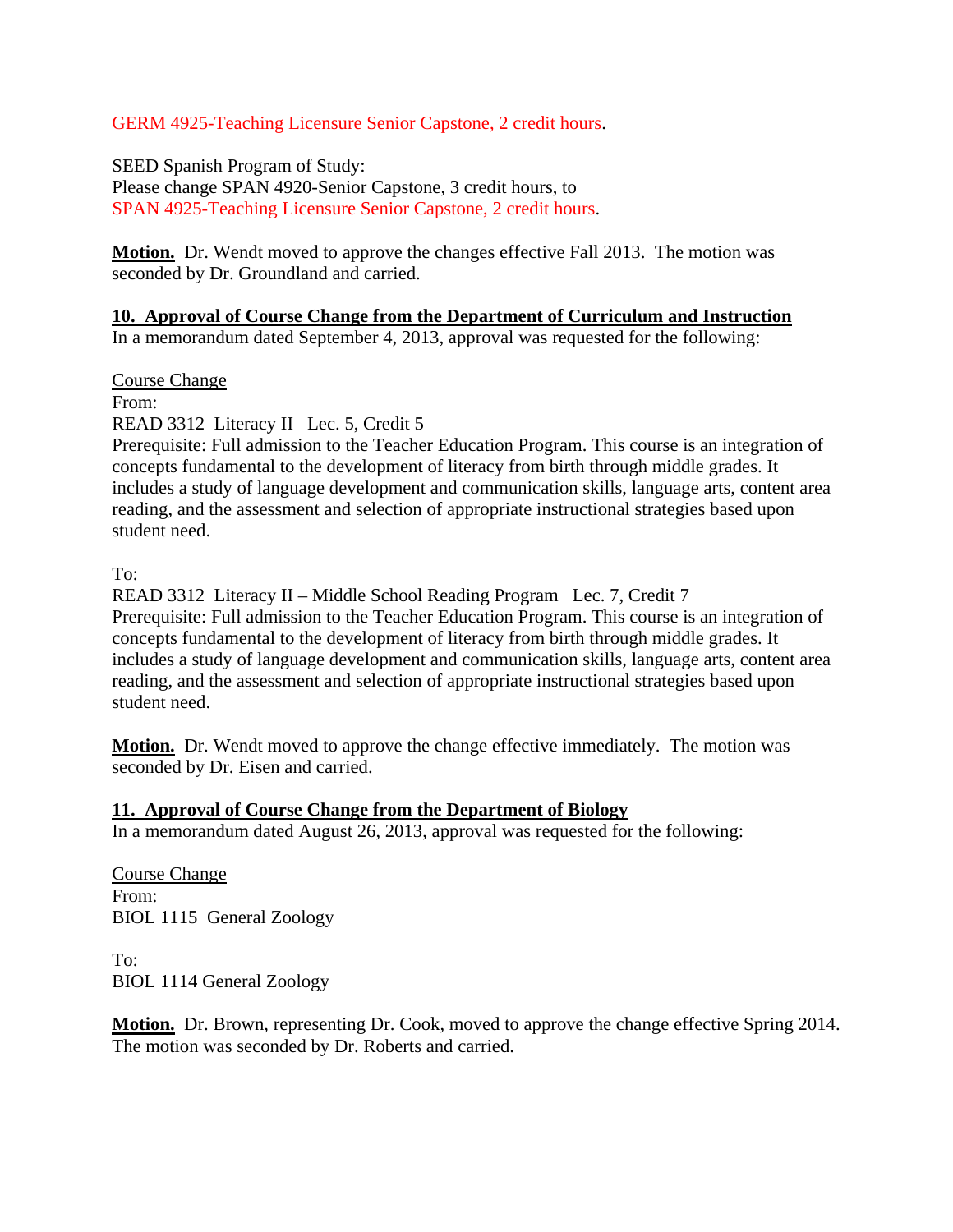### GERM 4925-Teaching Licensure Senior Capstone, 2 credit hours.

SEED Spanish Program of Study: Please change SPAN 4920-Senior Capstone, 3 credit hours, to SPAN 4925-Teaching Licensure Senior Capstone, 2 credit hours.

**Motion.** Dr. Wendt moved to approve the changes effective Fall 2013. The motion was seconded by Dr. Groundland and carried.

### **10. Approval of Course Change from the Department of Curriculum and Instruction**

In a memorandum dated September 4, 2013, approval was requested for the following:

Course Change

From:

READ 3312 Literacy II Lec. 5, Credit 5

Prerequisite: Full admission to the Teacher Education Program. This course is an integration of concepts fundamental to the development of literacy from birth through middle grades. It includes a study of language development and communication skills, language arts, content area reading, and the assessment and selection of appropriate instructional strategies based upon student need.

To:

READ 3312 Literacy II – Middle School Reading Program Lec. 7, Credit 7 Prerequisite: Full admission to the Teacher Education Program. This course is an integration of concepts fundamental to the development of literacy from birth through middle grades. It includes a study of language development and communication skills, language arts, content area reading, and the assessment and selection of appropriate instructional strategies based upon student need.

**Motion.** Dr. Wendt moved to approve the change effective immediately. The motion was seconded by Dr. Eisen and carried.

#### **11. Approval of Course Change from the Department of Biology**

In a memorandum dated August 26, 2013, approval was requested for the following:

Course Change From: BIOL 1115 General Zoology

To: BIOL 1114 General Zoology

**Motion.** Dr. Brown, representing Dr. Cook, moved to approve the change effective Spring 2014. The motion was seconded by Dr. Roberts and carried.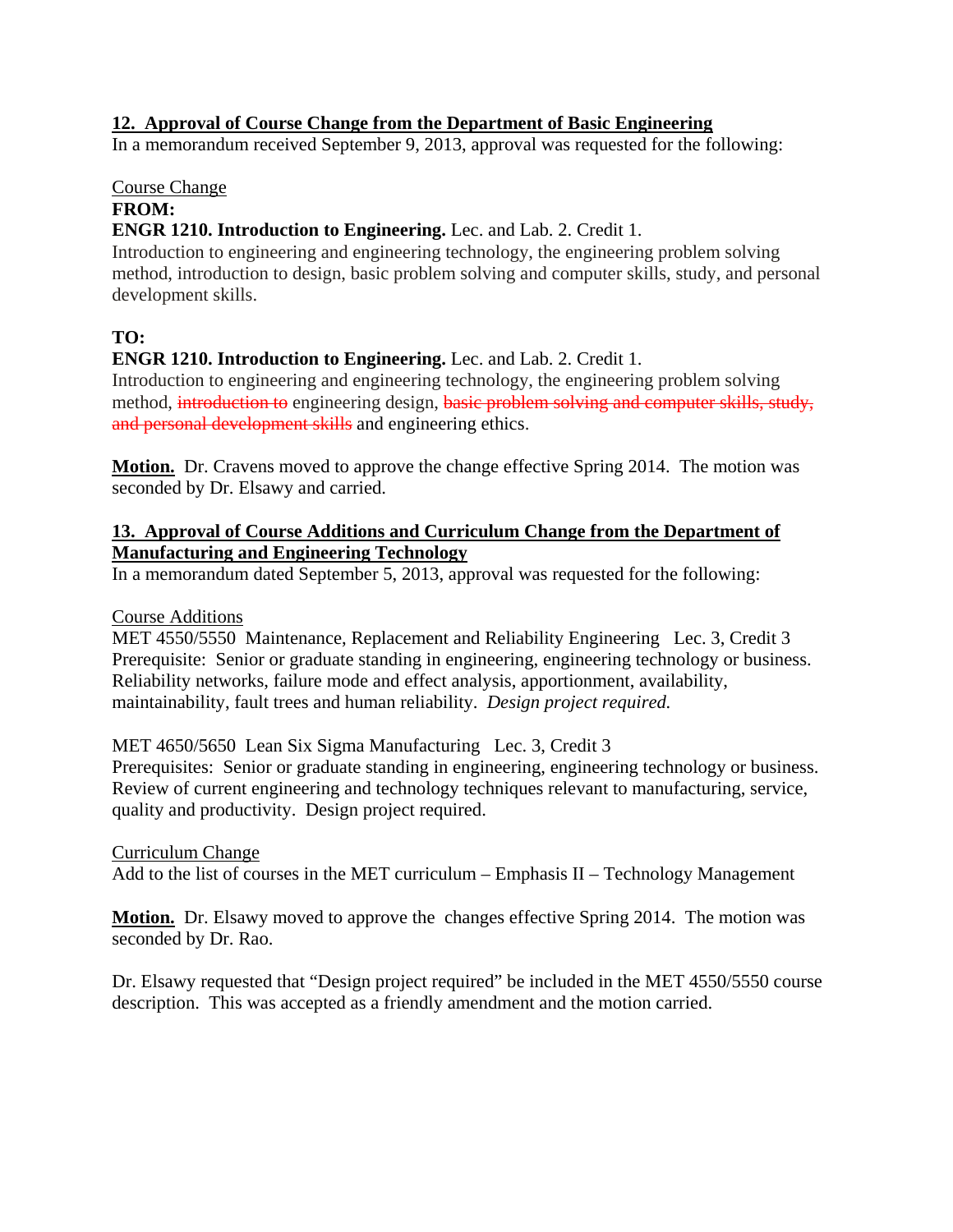### **12. Approval of Course Change from the Department of Basic Engineering**

In a memorandum received September 9, 2013, approval was requested for the following:

# Course Change

# **FROM:**

### **ENGR 1210. Introduction to Engineering.** Lec. and Lab. 2. Credit 1.

Introduction to engineering and engineering technology, the engineering problem solving method, introduction to design, basic problem solving and computer skills, study, and personal development skills.

# **TO:**

# **ENGR 1210. Introduction to Engineering.** Lec. and Lab. 2. Credit 1.

Introduction to engineering and engineering technology, the engineering problem solving method, introduction to engineering design, basic problem solving and computer skills, study, and personal development skills and engineering ethics.

**Motion.** Dr. Cravens moved to approve the change effective Spring 2014. The motion was seconded by Dr. Elsawy and carried.

### **13. Approval of Course Additions and Curriculum Change from the Department of Manufacturing and Engineering Technology**

In a memorandum dated September 5, 2013, approval was requested for the following:

### Course Additions

MET 4550/5550 Maintenance, Replacement and Reliability Engineering Lec. 3, Credit 3 Prerequisite: Senior or graduate standing in engineering, engineering technology or business. Reliability networks, failure mode and effect analysis, apportionment, availability, maintainability, fault trees and human reliability. *Design project required.*

### MET 4650/5650 Lean Six Sigma Manufacturing Lec. 3, Credit 3

Prerequisites: Senior or graduate standing in engineering, engineering technology or business. Review of current engineering and technology techniques relevant to manufacturing, service, quality and productivity. Design project required.

### Curriculum Change

Add to the list of courses in the MET curriculum – Emphasis II – Technology Management

**Motion.** Dr. Elsawy moved to approve the changes effective Spring 2014. The motion was seconded by Dr. Rao.

Dr. Elsawy requested that "Design project required" be included in the MET 4550/5550 course description. This was accepted as a friendly amendment and the motion carried.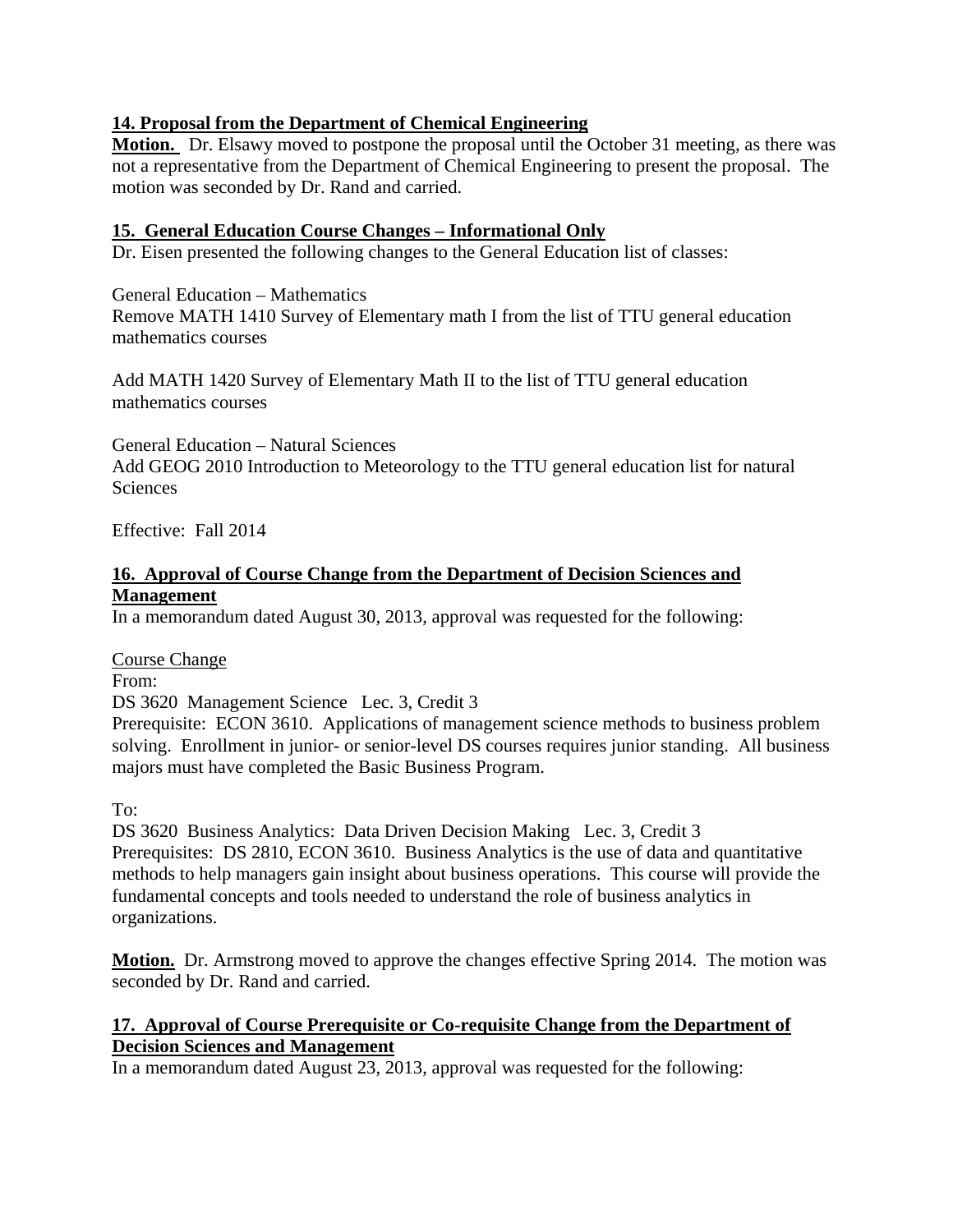### **14. Proposal from the Department of Chemical Engineering**

**Motion.** Dr. Elsawy moved to postpone the proposal until the October 31 meeting, as there was not a representative from the Department of Chemical Engineering to present the proposal. The motion was seconded by Dr. Rand and carried.

# **15. General Education Course Changes – Informational Only**

Dr. Eisen presented the following changes to the General Education list of classes:

General Education – Mathematics Remove MATH 1410 Survey of Elementary math I from the list of TTU general education mathematics courses

Add MATH 1420 Survey of Elementary Math II to the list of TTU general education mathematics courses

General Education – Natural Sciences Add GEOG 2010 Introduction to Meteorology to the TTU general education list for natural **Sciences** 

Effective: Fall 2014

### **16. Approval of Course Change from the Department of Decision Sciences and Management**

In a memorandum dated August 30, 2013, approval was requested for the following:

#### Course Change

From:

DS 3620 Management Science Lec. 3, Credit 3

Prerequisite: ECON 3610. Applications of management science methods to business problem solving. Enrollment in junior- or senior-level DS courses requires junior standing. All business majors must have completed the Basic Business Program.

To:

DS 3620 Business Analytics: Data Driven Decision Making Lec. 3, Credit 3 Prerequisites: DS 2810, ECON 3610. Business Analytics is the use of data and quantitative methods to help managers gain insight about business operations. This course will provide the fundamental concepts and tools needed to understand the role of business analytics in organizations.

**Motion.** Dr. Armstrong moved to approve the changes effective Spring 2014. The motion was seconded by Dr. Rand and carried.

### **17. Approval of Course Prerequisite or Co-requisite Change from the Department of Decision Sciences and Management**

In a memorandum dated August 23, 2013, approval was requested for the following: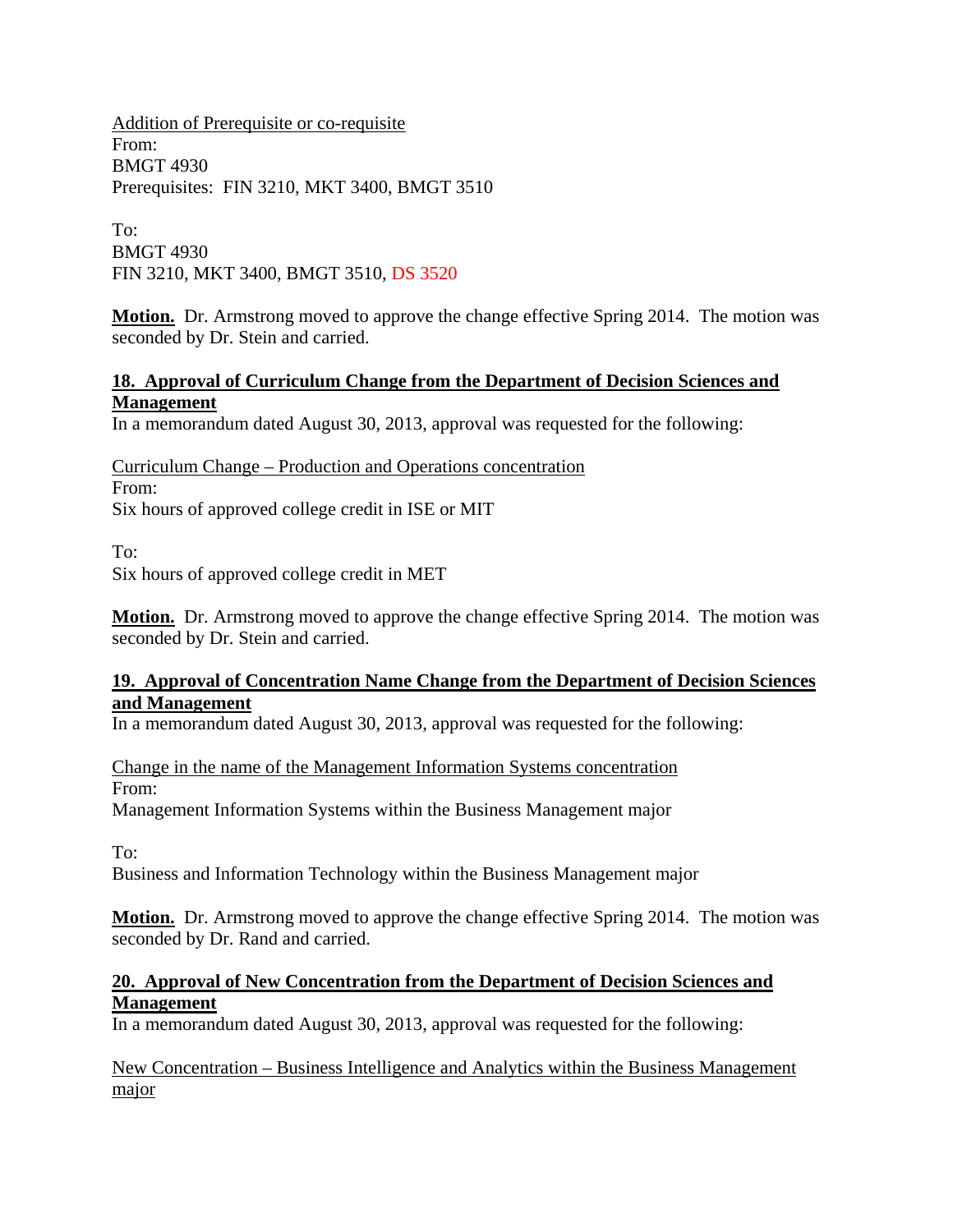Addition of Prerequisite or co-requisite From: BMGT 4930 Prerequisites: FIN 3210, MKT 3400, BMGT 3510

To: BMGT 4930 FIN 3210, MKT 3400, BMGT 3510, DS 3520

**Motion.** Dr. Armstrong moved to approve the change effective Spring 2014. The motion was seconded by Dr. Stein and carried.

### **18. Approval of Curriculum Change from the Department of Decision Sciences and Management**

In a memorandum dated August 30, 2013, approval was requested for the following:

Curriculum Change – Production and Operations concentration From: Six hours of approved college credit in ISE or MIT

To:

Six hours of approved college credit in MET

**Motion.** Dr. Armstrong moved to approve the change effective Spring 2014. The motion was seconded by Dr. Stein and carried.

### **19. Approval of Concentration Name Change from the Department of Decision Sciences and Management**

In a memorandum dated August 30, 2013, approval was requested for the following:

Change in the name of the Management Information Systems concentration From:

Management Information Systems within the Business Management major

To:

Business and Information Technology within the Business Management major

**Motion.** Dr. Armstrong moved to approve the change effective Spring 2014. The motion was seconded by Dr. Rand and carried.

### **20. Approval of New Concentration from the Department of Decision Sciences and Management**

In a memorandum dated August 30, 2013, approval was requested for the following:

New Concentration – Business Intelligence and Analytics within the Business Management major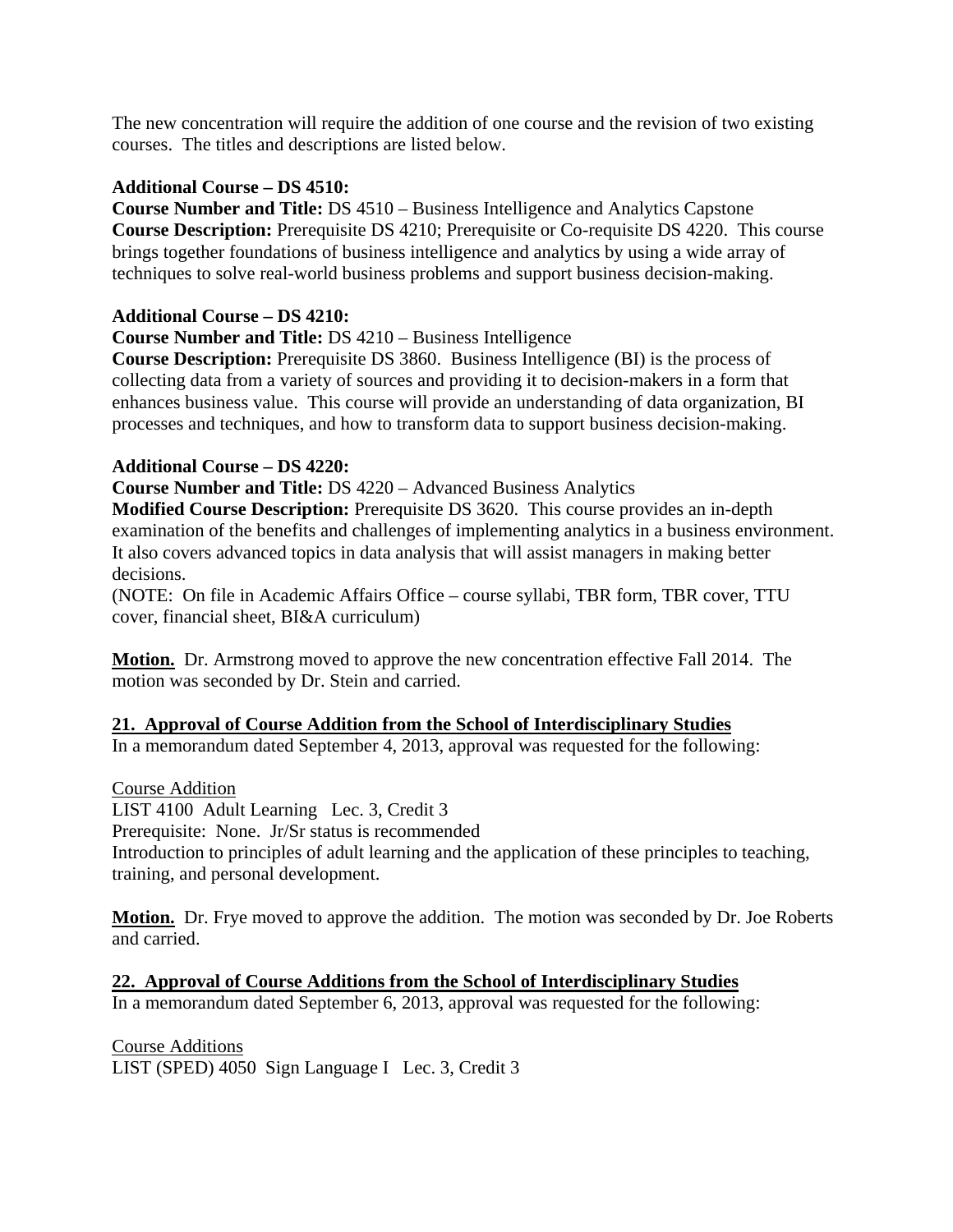The new concentration will require the addition of one course and the revision of two existing courses. The titles and descriptions are listed below.

### **Additional Course – DS 4510:**

**Course Number and Title:** DS 4510 – Business Intelligence and Analytics Capstone **Course Description:** Prerequisite DS 4210; Prerequisite or Co-requisite DS 4220. This course brings together foundations of business intelligence and analytics by using a wide array of techniques to solve real-world business problems and support business decision-making.

### **Additional Course – DS 4210:**

### **Course Number and Title:** DS 4210 – Business Intelligence

**Course Description:** Prerequisite DS 3860. Business Intelligence (BI) is the process of collecting data from a variety of sources and providing it to decision-makers in a form that enhances business value. This course will provide an understanding of data organization, BI processes and techniques, and how to transform data to support business decision-making.

### **Additional Course – DS 4220:**

**Course Number and Title:** DS 4220 – Advanced Business Analytics

**Modified Course Description:** Prerequisite DS 3620. This course provides an in-depth examination of the benefits and challenges of implementing analytics in a business environment. It also covers advanced topics in data analysis that will assist managers in making better decisions.

(NOTE: On file in Academic Affairs Office – course syllabi, TBR form, TBR cover, TTU cover, financial sheet, BI&A curriculum)

**Motion.** Dr. Armstrong moved to approve the new concentration effective Fall 2014. The motion was seconded by Dr. Stein and carried.

#### **21. Approval of Course Addition from the School of Interdisciplinary Studies**

In a memorandum dated September 4, 2013, approval was requested for the following:

Course Addition

LIST 4100 Adult Learning Lec. 3, Credit 3 Prerequisite: None. Jr/Sr status is recommended Introduction to principles of adult learning and the application of these principles to teaching, training, and personal development.

**Motion.** Dr. Frye moved to approve the addition. The motion was seconded by Dr. Joe Roberts and carried.

**22. Approval of Course Additions from the School of Interdisciplinary Studies**

In a memorandum dated September 6, 2013, approval was requested for the following:

Course Additions LIST (SPED) 4050 Sign Language I Lec. 3, Credit 3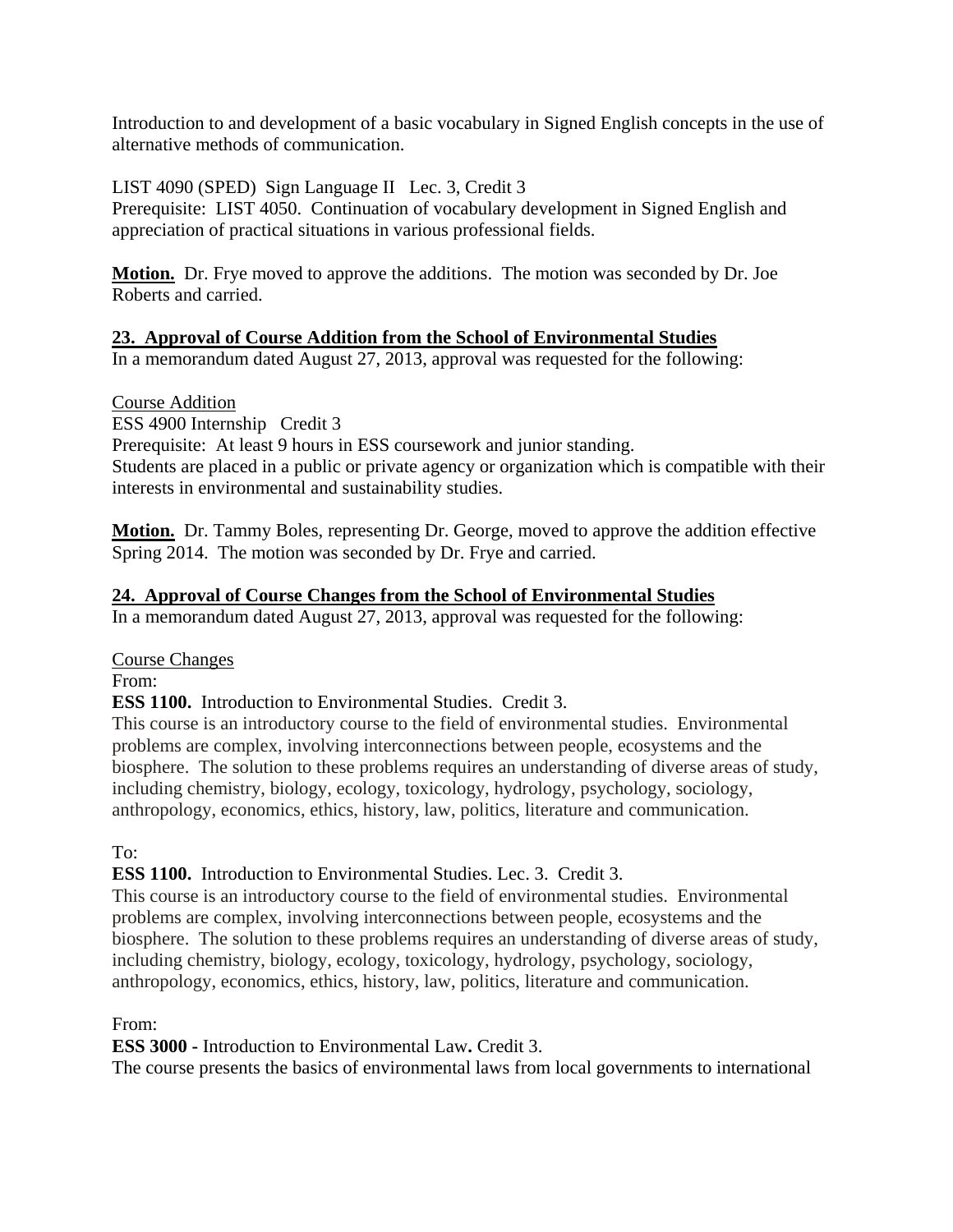Introduction to and development of a basic vocabulary in Signed English concepts in the use of alternative methods of communication.

LIST 4090 (SPED) Sign Language II Lec. 3, Credit 3 Prerequisite: LIST 4050. Continuation of vocabulary development in Signed English and appreciation of practical situations in various professional fields.

**Motion.** Dr. Frye moved to approve the additions. The motion was seconded by Dr. Joe Roberts and carried.

### **23. Approval of Course Addition from the School of Environmental Studies**

In a memorandum dated August 27, 2013, approval was requested for the following:

Course Addition

ESS 4900 Internship Credit 3

Prerequisite: At least 9 hours in ESS coursework and junior standing. Students are placed in a public or private agency or organization which is compatible with their interests in environmental and sustainability studies.

**Motion.** Dr. Tammy Boles, representing Dr. George, moved to approve the addition effective Spring 2014. The motion was seconded by Dr. Frye and carried.

### **24. Approval of Course Changes from the School of Environmental Studies**

In a memorandum dated August 27, 2013, approval was requested for the following:

#### Course Changes

From:

**ESS 1100.** Introduction to Environmental Studies. Credit 3.

This course is an introductory course to the field of environmental studies. Environmental problems are complex, involving interconnections between people, ecosystems and the biosphere. The solution to these problems requires an understanding of diverse areas of study, including chemistry, biology, ecology, toxicology, hydrology, psychology, sociology, anthropology, economics, ethics, history, law, politics, literature and communication.

To:

### **ESS 1100.** Introduction to Environmental Studies. Lec. 3. Credit 3.

This course is an introductory course to the field of environmental studies. Environmental problems are complex, involving interconnections between people, ecosystems and the biosphere. The solution to these problems requires an understanding of diverse areas of study, including chemistry, biology, ecology, toxicology, hydrology, psychology, sociology, anthropology, economics, ethics, history, law, politics, literature and communication.

From:

**ESS 3000 -** Introduction to Environmental Law**.** Credit 3.

The course presents the basics of environmental laws from local governments to international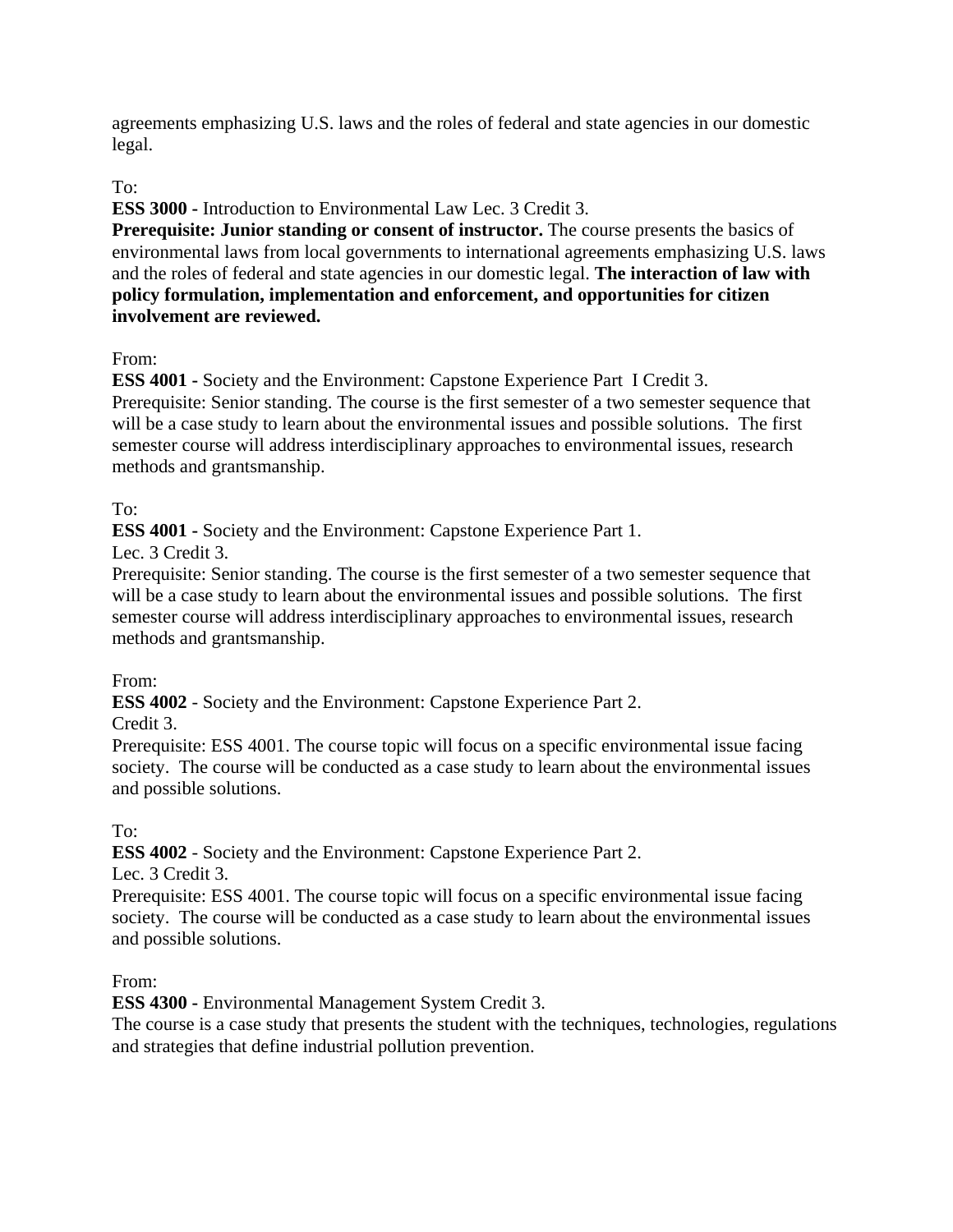agreements emphasizing U.S. laws and the roles of federal and state agencies in our domestic legal.

# To:

**ESS 3000 -** Introduction to Environmental Law Lec. 3 Credit 3.

**Prerequisite: Junior standing or consent of instructor.** The course presents the basics of environmental laws from local governments to international agreements emphasizing U.S. laws and the roles of federal and state agencies in our domestic legal. **The interaction of law with policy formulation, implementation and enforcement, and opportunities for citizen involvement are reviewed.**

# From:

**ESS 4001 -** Society and the Environment: Capstone Experience Part I Credit 3. Prerequisite: Senior standing. The course is the first semester of a two semester sequence that will be a case study to learn about the environmental issues and possible solutions. The first semester course will address interdisciplinary approaches to environmental issues, research methods and grantsmanship.

# To:

**ESS 4001 -** Society and the Environment: Capstone Experience Part 1.

Lec. 3 Credit 3.

Prerequisite: Senior standing. The course is the first semester of a two semester sequence that will be a case study to learn about the environmental issues and possible solutions. The first semester course will address interdisciplinary approaches to environmental issues, research methods and grantsmanship.

### From:

**ESS 4002** - Society and the Environment: Capstone Experience Part 2.

Credit 3.

Prerequisite: ESS 4001. The course topic will focus on a specific environmental issue facing society. The course will be conducted as a case study to learn about the environmental issues and possible solutions.

To:

**ESS 4002** - Society and the Environment: Capstone Experience Part 2.

Lec. 3 Credit 3.

Prerequisite: ESS 4001. The course topic will focus on a specific environmental issue facing society. The course will be conducted as a case study to learn about the environmental issues and possible solutions.

From:

**ESS 4300 -** Environmental Management System Credit 3.

The course is a case study that presents the student with the techniques, technologies, regulations and strategies that define industrial pollution prevention.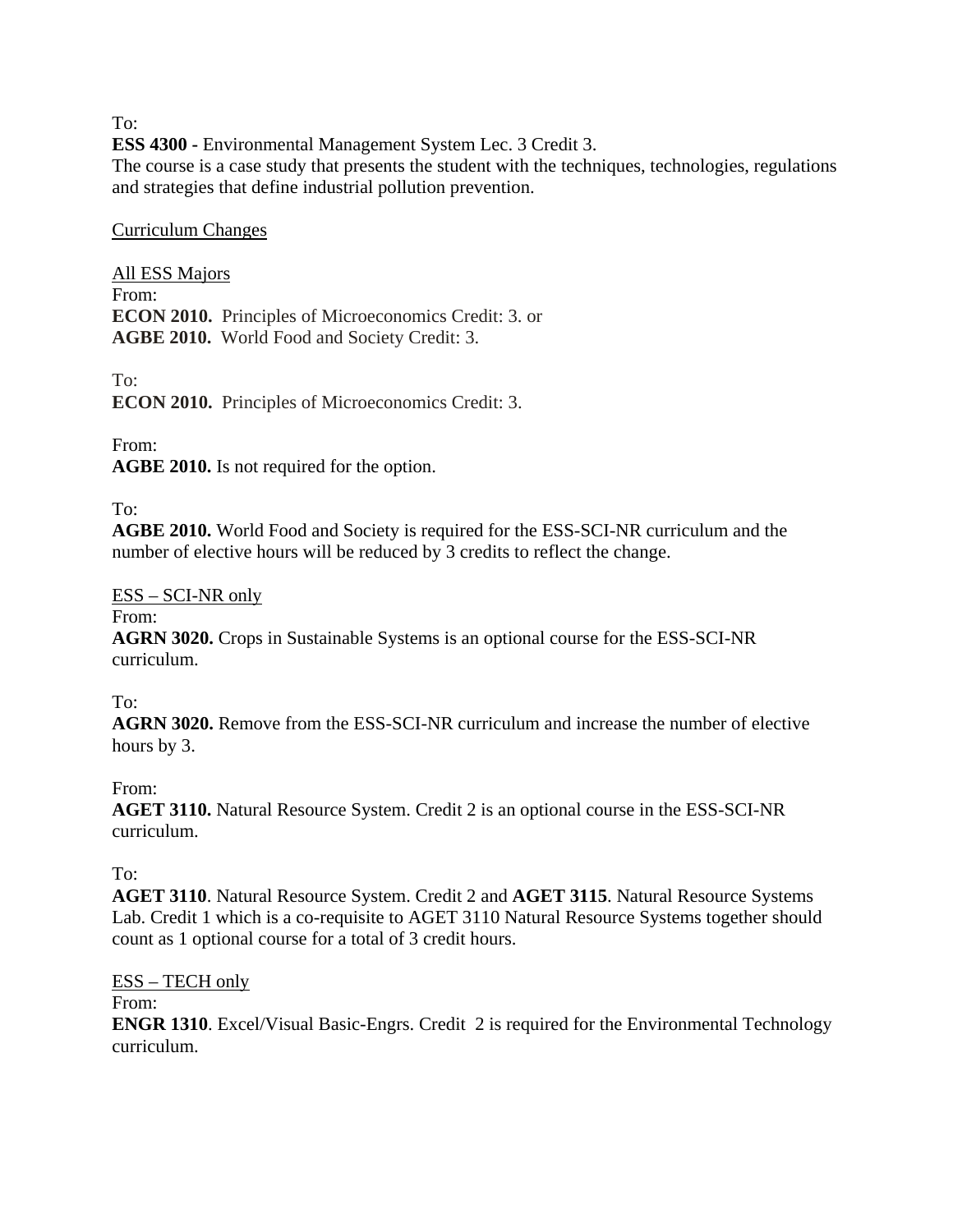To:

**ESS 4300 -** Environmental Management System Lec. 3 Credit 3.

The course is a case study that presents the student with the techniques, technologies, regulations and strategies that define industrial pollution prevention.

### Curriculum Changes

All ESS Majors From: **ECON 2010.** Principles of Microeconomics Credit: 3. or **AGBE 2010.** World Food and Society Credit: 3.

To:

**ECON 2010.** Principles of Microeconomics Credit: 3.

From:

**AGBE 2010.** Is not required for the option.

To:

**AGBE 2010.** World Food and Society is required for the ESS-SCI-NR curriculum and the number of elective hours will be reduced by 3 credits to reflect the change.

### ESS – SCI-NR only

From:

**AGRN 3020.** Crops in Sustainable Systems is an optional course for the ESS-SCI-NR curriculum.

To:

**AGRN 3020.** Remove from the ESS-SCI-NR curriculum and increase the number of elective hours by 3.

From:

**AGET 3110.** Natural Resource System. Credit 2 is an optional course in the ESS-SCI-NR curriculum.

To:

**AGET 3110**. Natural Resource System. Credit 2 and **AGET 3115**. Natural Resource Systems Lab. Credit 1 which is a co-requisite to AGET 3110 Natural Resource Systems together should count as 1 optional course for a total of 3 credit hours.

ESS – TECH only

From:

**ENGR 1310**. Excel/Visual Basic-Engrs. Credit 2 is required for the Environmental Technology curriculum.